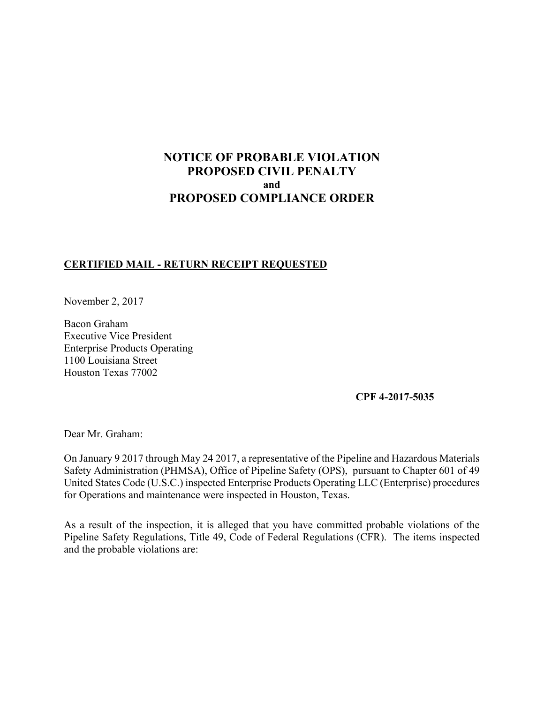# **NOTICE OF PROBABLE VIOLATION PROPOSED CIVIL PENALTY and PROPOSED COMPLIANCE ORDER**

## **CERTIFIED MAIL - RETURN RECEIPT REQUESTED**

November 2, 2017

Bacon Graham Executive Vice President Enterprise Products Operating 1100 Louisiana Street Houston Texas 77002

**CPF 4-2017-5035** 

Dear Mr. Graham:

 Safety Administration (PHMSA), Office of Pipeline Safety (OPS), pursuant to Chapter 601 of 49 On January 9 2017 through May 24 2017, a representative of the Pipeline and Hazardous Materials United States Code (U.S.C.) inspected Enterprise Products Operating LLC (Enterprise) procedures for Operations and maintenance were inspected in Houston, Texas.

 Pipeline Safety Regulations, Title 49, Code of Federal Regulations (CFR). The items inspected As a result of the inspection, it is alleged that you have committed probable violations of the and the probable violations are: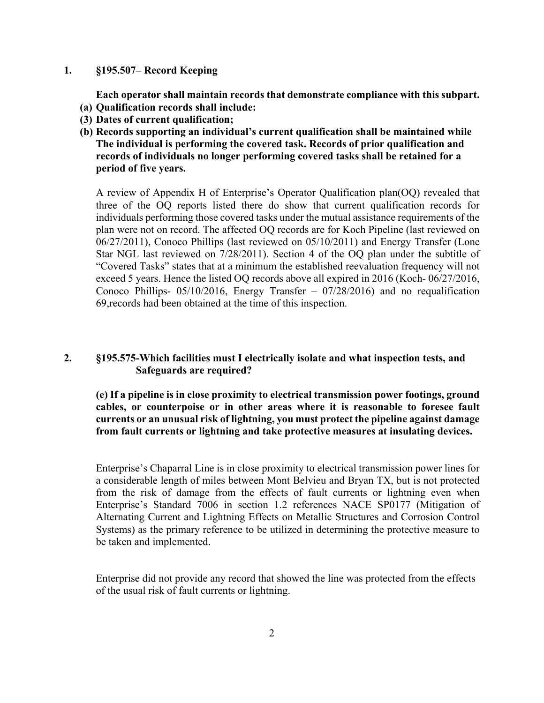#### **1. §195.507– Record Keeping**

**Each operator shall maintain records that demonstrate compliance with this subpart.** 

- **(a) Qualification records shall include:**
- **(3) Dates of current qualification;**
- **(b) Records supporting an individual's current qualification shall be maintained while The individual is performing the covered task. Records of prior qualification and records of individuals no longer performing covered tasks shall be retained for a period of five years.**

A review of Appendix H of Enterprise's Operator Qualification plan(OQ) revealed that three of the OQ reports listed there do show that current qualification records for individuals performing those covered tasks under the mutual assistance requirements of the plan were not on record. The affected OQ records are for Koch Pipeline (last reviewed on 06/27/2011), Conoco Phillips (last reviewed on 05/10/2011) and Energy Transfer (Lone Star NGL last reviewed on 7/28/2011). Section 4 of the OQ plan under the subtitle of "Covered Tasks" states that at a minimum the established reevaluation frequency will not exceed 5 years. Hence the listed OQ records above all expired in 2016 (Koch- 06/27/2016, Conoco Phillips- 05/10/2016, Energy Transfer – 07/28/2016) and no requalification 69,records had been obtained at the time of this inspection.

# **2. §195.575-Which facilities must I electrically isolate and what inspection tests, and Safeguards are required?**

**(e) If a pipeline is in close proximity to electrical transmission power footings, ground cables, or counterpoise or in other areas where it is reasonable to foresee fault currents or an unusual risk of lightning, you must protect the pipeline against damage from fault currents or lightning and take protective measures at insulating devices.** 

 from the risk of damage from the effects of fault currents or lightning even when Enterprise's Chaparral Line is in close proximity to electrical transmission power lines for a considerable length of miles between Mont Belvieu and Bryan TX, but is not protected Enterprise's Standard 7006 in section 1.2 references NACE SP0177 (Mitigation of Alternating Current and Lightning Effects on Metallic Structures and Corrosion Control Systems) as the primary reference to be utilized in determining the protective measure to be taken and implemented.

Enterprise did not provide any record that showed the line was protected from the effects of the usual risk of fault currents or lightning.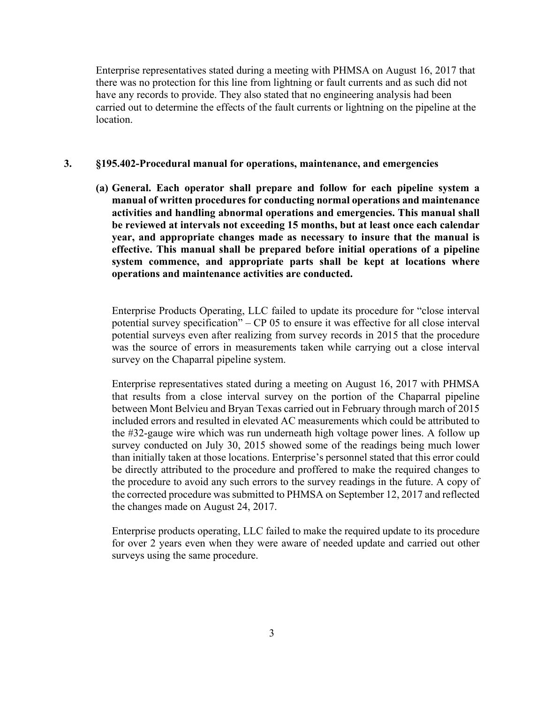Enterprise representatives stated during a meeting with PHMSA on August 16, 2017 that there was no protection for this line from lightning or fault currents and as such did not have any records to provide. They also stated that no engineering analysis had been carried out to determine the effects of the fault currents or lightning on the pipeline at the location.

#### **3. §195.402-Procedural manual for operations, maintenance, and emergencies**

**(a) General. Each operator shall prepare and follow for each pipeline system a manual of written procedures for conducting normal operations and maintenance activities and handling abnormal operations and emergencies. This manual shall be reviewed at intervals not exceeding 15 months, but at least once each calendar year, and appropriate changes made as necessary to insure that the manual is effective. This manual shall be prepared before initial operations of a pipeline system commence, and appropriate parts shall be kept at locations where operations and maintenance activities are conducted.** 

 survey on the Chaparral pipeline system. Enterprise Products Operating, LLC failed to update its procedure for "close interval potential survey specification" – CP 05 to ensure it was effective for all close interval potential surveys even after realizing from survey records in 2015 that the procedure was the source of errors in measurements taken while carrying out a close interval

 than initially taken at those locations. Enterprise's personnel stated that this error could the procedure to avoid any such errors to the survey readings in the future. A copy of Enterprise representatives stated during a meeting on August 16, 2017 with PHMSA that results from a close interval survey on the portion of the Chaparral pipeline between Mont Belvieu and Bryan Texas carried out in February through march of 2015 included errors and resulted in elevated AC measurements which could be attributed to the #32-gauge wire which was run underneath high voltage power lines. A follow up survey conducted on July 30, 2015 showed some of the readings being much lower be directly attributed to the procedure and proffered to make the required changes to the corrected procedure was submitted to PHMSA on September 12, 2017 and reflected the changes made on August 24, 2017.

Enterprise products operating, LLC failed to make the required update to its procedure for over 2 years even when they were aware of needed update and carried out other surveys using the same procedure.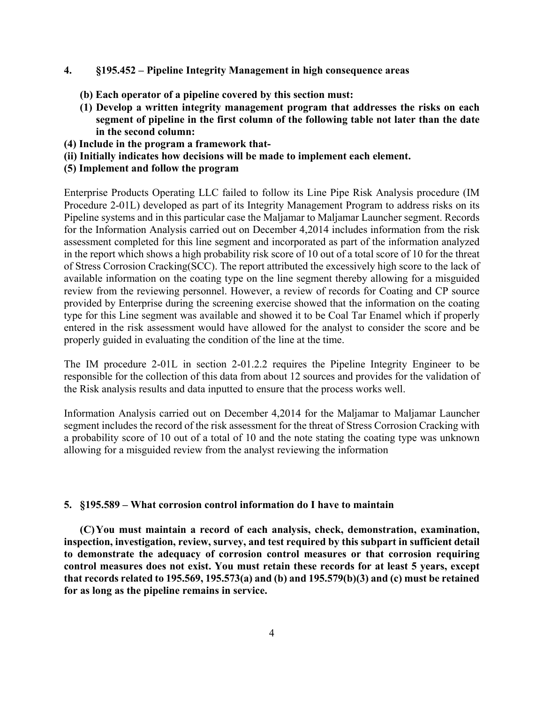#### **4. §195.452 – Pipeline Integrity Management in high consequence areas**

- **(b) Each operator of a pipeline covered by this section must:**
- **(1) Develop a written integrity management program that addresses the risks on each segment of pipeline in the first column of the following table not later than the date in the second column:**
- **(4) Include in the program a framework that-**
- **(ii) Initially indicates how decisions will be made to implement each element.**
- **(5) Implement and follow the program**

 in the report which shows a high probability risk score of 10 out of a total score of 10 for the threat available information on the coating type on the line segment thereby allowing for a misguided Enterprise Products Operating LLC failed to follow its Line Pipe Risk Analysis procedure (IM Procedure 2-01L) developed as part of its Integrity Management Program to address risks on its Pipeline systems and in this particular case the Maljamar to Maljamar Launcher segment. Records for the Information Analysis carried out on December 4,2014 includes information from the risk assessment completed for this line segment and incorporated as part of the information analyzed of Stress Corrosion Cracking(SCC). The report attributed the excessively high score to the lack of review from the reviewing personnel. However, a review of records for Coating and CP source provided by Enterprise during the screening exercise showed that the information on the coating type for this Line segment was available and showed it to be Coal Tar Enamel which if properly entered in the risk assessment would have allowed for the analyst to consider the score and be properly guided in evaluating the condition of the line at the time.

The IM procedure 2-01L in section 2-01.2.2 requires the Pipeline Integrity Engineer to be responsible for the collection of this data from about 12 sources and provides for the validation of the Risk analysis results and data inputted to ensure that the process works well.

 segment includes the record of the risk assessment for the threat of Stress Corrosion Cracking with Information Analysis carried out on December 4,2014 for the Maljamar to Maljamar Launcher a probability score of 10 out of a total of 10 and the note stating the coating type was unknown allowing for a misguided review from the analyst reviewing the information

#### **5. §195.589 – What corrosion control information do I have to maintain**

 **(C) You must maintain a record of each analysis, check, demonstration, examination, control measures does not exist. You must retain these records for at least 5 years, except that records related to 195.569, 195.573(a) and (b) and 195.579(b)(3) and (c) must be retained inspection, investigation, review, survey, and test required by this subpart in sufficient detail to demonstrate the adequacy of corrosion control measures or that corrosion requiring for as long as the pipeline remains in service.**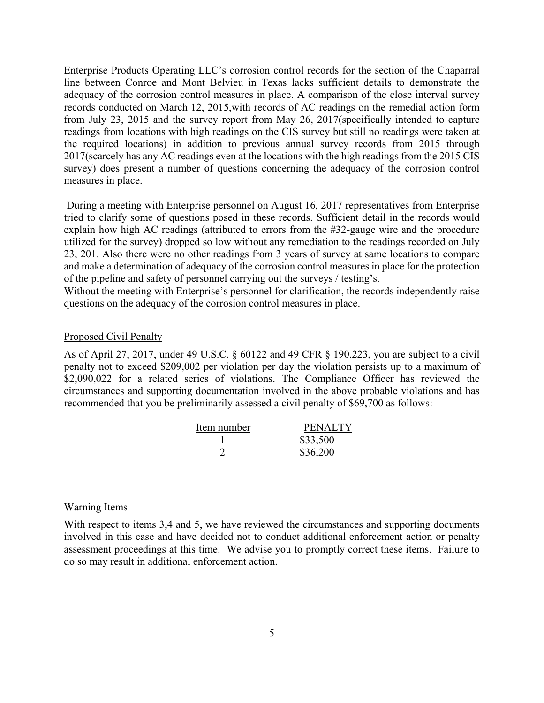Enterprise Products Operating LLC's corrosion control records for the section of the Chaparral line between Conroe and Mont Belvieu in Texas lacks sufficient details to demonstrate the adequacy of the corrosion control measures in place. A comparison of the close interval survey records conducted on March 12, 2015,with records of AC readings on the remedial action form from July 23, 2015 and the survey report from May 26, 2017(specifically intended to capture readings from locations with high readings on the CIS survey but still no readings were taken at the required locations) in addition to previous annual survey records from 2015 through 2017(scarcely has any AC readings even at the locations with the high readings from the 2015 CIS survey) does present a number of questions concerning the adequacy of the corrosion control measures in place.

 During a meeting with Enterprise personnel on August 16, 2017 representatives from Enterprise tried to clarify some of questions posed in these records. Sufficient detail in the records would 23, 201. Also there were no other readings from 3 years of survey at same locations to compare explain how high AC readings (attributed to errors from the #32-gauge wire and the procedure utilized for the survey) dropped so low without any remediation to the readings recorded on July and make a determination of adequacy of the corrosion control measures in place for the protection of the pipeline and safety of personnel carrying out the surveys / testing's.

Without the meeting with Enterprise's personnel for clarification, the records independently raise questions on the adequacy of the corrosion control measures in place.

#### Proposed Civil Penalty

As of April 27, 2017, under 49 U.S.C. § 60122 and 49 CFR § 190.223, you are subject to a civil penalty not to exceed \$209,002 per violation per day the violation persists up to a maximum of \$2,090,022 for a related series of violations. The Compliance Officer has reviewed the circumstances and supporting documentation involved in the above probable violations and has recommended that you be preliminarily assessed a civil penalty of \$69,700 as follows:

| Item number | <b>PENALTY</b> |
|-------------|----------------|
|             | \$33,500       |
|             | \$36,200       |

#### Warning Items

With respect to items 3,4 and 5, we have reviewed the circumstances and supporting documents involved in this case and have decided not to conduct additional enforcement action or penalty assessment proceedings at this time. We advise you to promptly correct these items. Failure to do so may result in additional enforcement action.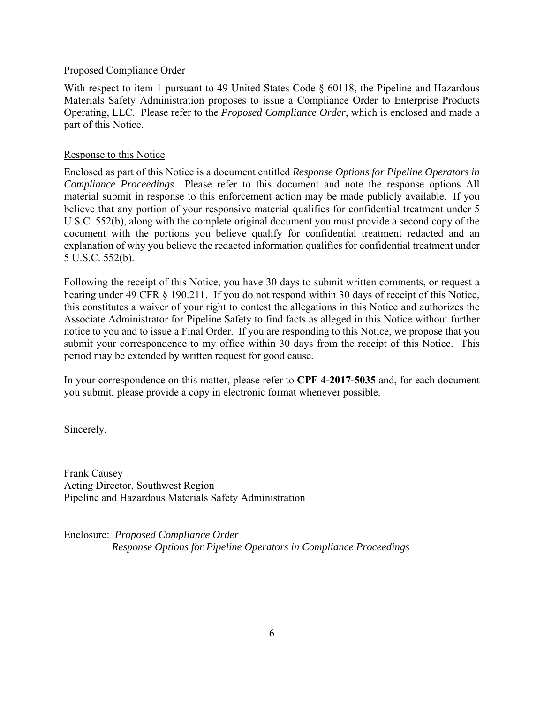### Proposed Compliance Order

With respect to item 1 pursuant to 49 United States Code § 60118, the Pipeline and Hazardous Materials Safety Administration proposes to issue a Compliance Order to Enterprise Products Operating, LLC. Please refer to the *Proposed Compliance Order*, which is enclosed and made a part of this Notice.

### Response to this Notice

Enclosed as part of this Notice is a document entitled *Response Options for Pipeline Operators in Compliance Proceedings*. Please refer to this document and note the response options. All material submit in response to this enforcement action may be made publicly available. If you believe that any portion of your responsive material qualifies for confidential treatment under 5 U.S.C. 552(b), along with the complete original document you must provide a second copy of the document with the portions you believe qualify for confidential treatment redacted and an explanation of why you believe the redacted information qualifies for confidential treatment under 5 U.S.C. 552(b).

 submit your correspondence to my office within 30 days from the receipt of this Notice. This Following the receipt of this Notice, you have 30 days to submit written comments, or request a hearing under 49 CFR § 190.211. If you do not respond within 30 days of receipt of this Notice, this constitutes a waiver of your right to contest the allegations in this Notice and authorizes the Associate Administrator for Pipeline Safety to find facts as alleged in this Notice without further notice to you and to issue a Final Order. If you are responding to this Notice, we propose that you period may be extended by written request for good cause.

In your correspondence on this matter, please refer to **CPF 4-2017-5035** and, for each document you submit, please provide a copy in electronic format whenever possible.

Sincerely,

Frank Causey Acting Director, Southwest Region Pipeline and Hazardous Materials Safety Administration

Enclosure: *Proposed Compliance Order Response Options for Pipeline Operators in Compliance Proceedings*